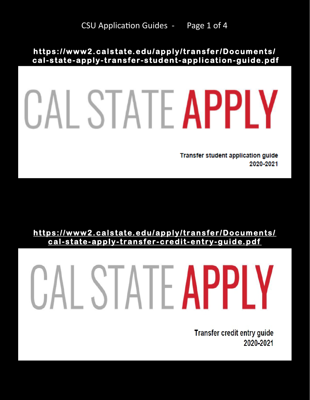**[ht tps:/ /www2. cals tat e. edu/ ap ply/transfer /Documents/](https://www2.calstate.edu/apply/transfer/Documents/cal-state-apply-transfer-student-application-guide.pdf)  cal-s tat e-apply-transfer [-stud ent-applic ation-guide.p df](https://www2.calstate.edu/apply/transfer/Documents/cal-state-apply-transfer-student-application-guide.pdf)** 

## CAL STATE APPLY

**Transfer student application guide** 2020-2021

**[ht tps:/ /www2. cals tat e. edu/ ap ply/transfer /Documents/](https://www2.calstate.edu/apply/transfer/Documents/cal-state-apply-transfer-credit-entry-guide.pdf)  [c al-st ate-ap ply-transfer](https://www2.calstate.edu/apply/transfer/Documents/cal-state-apply-transfer-credit-entry-guide.pdf) -cre dit-entry-guid e.p df** 

## CAL STATE APPLY

**Transfer credit entry guide** 2020-2021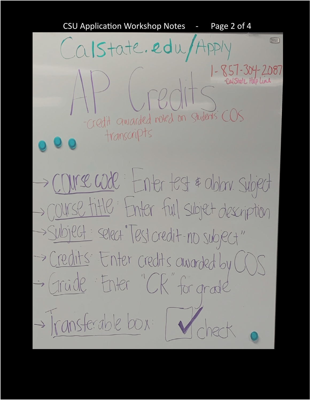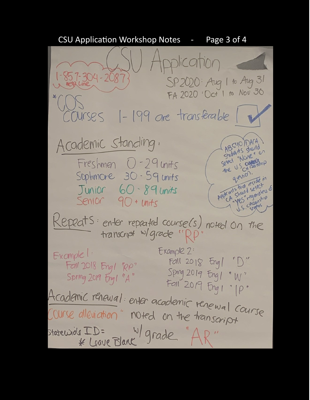CSU Application Workshop Notes - Page 3 of 4Application  $-857 - 304 - 2087$ SP 2020: Aug 1 to Aug 31<br>FA 2020: Oct 1 to Nov 30 \* Help Line  $-199$  are transferable  $\overline{\mathbb{R}}$ COURSES ABS HO DACA Academic Standing. ABS40 DALA Shida its shorton Sheet "Nore" Freshmen  $0 - 29$  units question. Sophmore 30 - 59 units Appleants that desired to the index of the straight of the straight of Junior 60-89 units show regarding Senior 90 + units Repeats: enter repeated course(s) noted on the Example 2: Example! Fall  $2018$  Engl "D" Fall 2018 Engl "RP" Sping 2019 Engl "W" Spring 2019  $f_{\text{ref}}$   $^{\prime}$  A"  $Fall 2019 Fng1$  " $p$ " Academic renewal: enter academic renewal course Course alleviation" noted on the transcript statewide ID= W/ grade "AR"